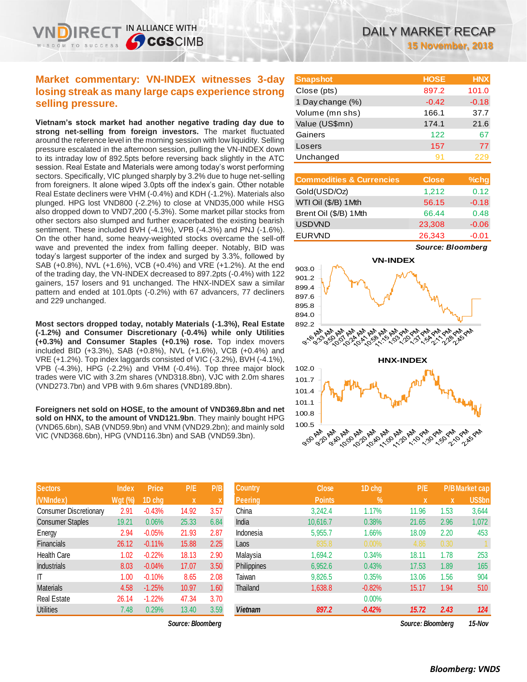## **Market commentary: VN-INDEX witnesses 3-day losing streak as many large caps experience strong selling pressure.**

IN ALLIANCE WITH

**SCGSCIMB** 

**Vietnam's stock market had another negative trading day due to strong net-selling from foreign investors.** The market fluctuated around the reference level in the morning session with low liquidity. Selling pressure escalated in the afternoon session, pulling the VN-INDEX down to its intraday low of 892.5pts before reversing back slightly in the ATC session. Real Estate and Materials were among today's worst performing sectors. Specifically, VIC plunged sharply by 3.2% due to huge net-selling from foreigners. It alone wiped 3.0pts off the index's gain. Other notable Real Estate decliners were VHM (-0.4%) and KDH (-1.2%). Materials also plunged. HPG lost VND800 (-2.2%) to close at VND35,000 while HSG also dropped down to VND7,200 (-5.3%). Some market pillar stocks from other sectors also slumped and further exacerbated the existing bearish sentiment. These included BVH (-4.1%), VPB (-4.3%) and PNJ (-1.6%). On the other hand, some heavy-weighted stocks overcame the sell-off wave and prevented the index from falling deeper. Notably, BID was today's largest supporter of the index and surged by 3.3%, followed by SAB (+0.8%), NVL (+1.6%), VCB (+0.4%) and VRE (+1.2%). At the end of the trading day, the VN-INDEX decreased to 897.2pts (-0.4%) with 122 gainers, 157 losers and 91 unchanged. The HNX-INDEX saw a similar pattern and ended at 101.0pts (-0.2%) with 67 advancers, 77 decliners and 229 unchanged.

**Most sectors dropped today, notably Materials (-1.3%), Real Estate (-1.2%) and Consumer Discretionary (-0.4%) while only Utilities (+0.3%) and Consumer Staples (+0.1%) rose.** Top index movers included BID (+3.3%), SAB (+0.8%), NVL (+1.6%), VCB (+0.4%) and VRE (+1.2%). Top index laggards consisted of VIC (-3.2%), BVH (-4.1%), VPB (-4.3%), HPG (-2.2%) and VHM (-0.4%). Top three major block trades were VIC with 3.2m shares (VND318.8bn), VJC with 2.0m shares (VND273.7bn) and VPB with 9.6m shares (VND189.8bn).

**Foreigners net sold on HOSE, to the amount of VND369.8bn and net sold on HNX, to the amount of VND121.9bn**. They mainly bought HPG (VND65.6bn), SAB (VND59.9bn) and VNM (VND29.2bn); and mainly sold VIC (VND368.6bn), HPG (VND116.3bn) and SAB (VND59.3bn).

| <b>Sectors</b>                | <b>Index</b>   | <b>Price</b> | P/E          | P/B  | <b>Country</b> | <b>Close</b>  | 1D chg   |
|-------------------------------|----------------|--------------|--------------|------|----------------|---------------|----------|
| (VNIndex)                     | <b>Wgt (%)</b> | 1D chg       | $\mathbf{x}$ | X    | Peering        | <b>Points</b> | $\%$     |
| <b>Consumer Discretionary</b> | 2.91           | $-0.43%$     | 14.92        | 3.57 | China          | 3,242.4       | 1.17%    |
| <b>Consumer Staples</b>       | 19.21          | 0.06%        | 25.33        | 6.84 | India          | 10,616.7      | 0.38%    |
| Energy                        | 2.94           | $-0.05%$     | 21.93        | 2.87 | Indonesia      | 5,955.7       | 1.66%    |
| <b>Financials</b>             | 26.12          | $-0.11%$     | 15.88        | 2.25 | Laos           | 835.8         | $0.00\%$ |
| <b>Health Care</b>            | 1.02           | $-0.22%$     | 18.13        | 2.90 | Malaysia       | 1,694.2       | 0.34%    |
| <b>Industrials</b>            | 8.03           | $-0.04%$     | 17.07        | 3.50 | Philippines    | 6,952.6       | 0.43%    |
| IT                            | 1.00           | $-0.10%$     | 8.65         | 2.08 | Taiwan         | 9,826.5       | 0.35%    |
| <b>Materials</b>              | 4.58           | $-1.25%$     | 10.97        | 1.60 | Thailand       | 1,638.8       | $-0.82%$ |
| <b>Real Estate</b>            | 26.14          | $-1.22%$     | 47.34        | 3.70 |                |               | $0.00\%$ |
| <b>Utilities</b>              | 7.48           | 0.29%        | 13.40        | 3.59 | <b>Vietnam</b> | 897.2         | $-0.42%$ |

| <b>Snapshot</b>  | <b>HOSE</b> | <b>HNX</b> |
|------------------|-------------|------------|
| Close (pts)      | 897.2       | 101.0      |
| 1 Day change (%) | $-0.42$     | $-0.18$    |
| Volume (mn shs)  | 166.1       | 37.7       |
| Value (US\$mn)   | 174.1       | 21.6       |
| Gainers          | 122         | 67         |
| Losers           | 157         | 77         |
| Unchanged        | 91          | 229        |

| <b>Commodities &amp; Currencies</b> | <b>Close</b> | $%$ chg |
|-------------------------------------|--------------|---------|
| Gold(USD/Oz)                        | 1,212        | 0.12    |
| WTI Oil (\$/B) 1Mth                 | 56.15        | $-0.18$ |
| Brent Oil (\$/B) 1Mth               | 66.44        | 0.48    |
| <b>USDVND</b>                       | 23,308       | $-0.06$ |
| <b>EURVND</b>                       | 26,343       | $-0.01$ |

*Source: Bloomberg*



| <b>Sectors</b>          | Index     | <b>Price</b> | P/E               | P/B  | Country        | <b>Close</b>  | 1D chg     | P/E               |      | <u>P/B</u> Market cap |
|-------------------------|-----------|--------------|-------------------|------|----------------|---------------|------------|-------------------|------|-----------------------|
| (VNIndex)               | $Wgt$ (%) | 1D chg       | X                 |      | <b>Peering</b> | <b>Points</b> | $\sqrt{2}$ | $\mathbf{x}$      | X    | <b>US\$bn</b>         |
| Consumer Discretionary  | 2.91      | $-0.43%$     | 14.92             | 3.57 | China          | 3,242.4       | 1.17%      | 11.96             | 1.53 | 3,644                 |
| <b>Consumer Staples</b> | 19.21     | 0.06%        | 25.33             | 6.84 | India          | 10,616.7      | 0.38%      | 21.65             | 2.96 | 1,072                 |
| Energy                  | 2.94      | $-0.05%$     | 21.93             | 2.87 | Indonesia      | 5,955.7       | 1.66%      | 18.09             | 2.20 | 453                   |
| <b>Financials</b>       | 26.12     | $-0.11%$     | 15.88             | 2.25 | Laos           | 835.8         | 0.00%      | 4.86              | 0.30 |                       |
| Health Care             | 1.02      | $-0.22%$     | 18.13             | 2.90 | Malaysia       | 1,694.2       | 0.34%      | 18.11             | 1.78 | 253                   |
| <b>Industrials</b>      | 8.03      | $-0.04%$     | 17.07             | 3.50 | Philippines    | 6,952.6       | 0.43%      | 17.53             | 1.89 | 165                   |
| ΙT                      | 1.00      | $-0.10%$     | 8.65              | 2.08 | Taiwan         | 9,826.5       | 0.35%      | 13.06             | 1.56 | 904                   |
| Materials               | 4.58      | $-1.25%$     | 10.97             | 1.60 | Thailand       | 1,638.8       | $-0.82%$   | 15.17             | 1.94 | 510                   |
| Real Estate             | 26.14     | $-1.22%$     | 47.34             | 3.70 |                |               | $0.00\%$   |                   |      |                       |
| Utilities               | 7.48      | 0.29%        | 13.40             | 3.59 | <b>Vietnam</b> | 897.2         | $-0.42%$   | 15.72             | 2.43 | 124                   |
|                         |           |              | Source: Bloombera |      |                |               |            | Source: Bloombera |      | 15-Nov                |

*Bloomberg: VNDS*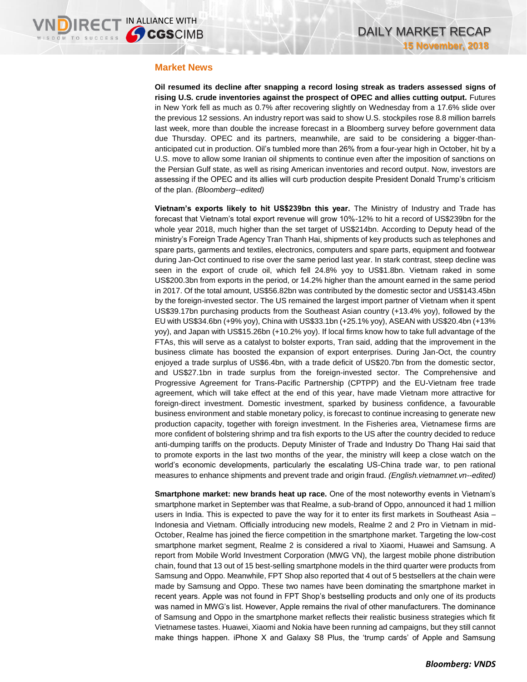#### **Market News**

**Oil resumed its decline after snapping a record losing streak as traders assessed signs of rising U.S. crude inventories against the prospect of OPEC and allies cutting output.** Futures in New York fell as much as 0.7% after recovering slightly on Wednesday from a 17.6% slide over the previous 12 sessions. An industry report was said to show U.S. stockpiles rose 8.8 million barrels last week, more than double the increase forecast in a Bloomberg survey before government data due Thursday. OPEC and its partners, meanwhile, are said to be considering a bigger-thananticipated cut in production. Oil's tumbled more than 26% from a four-year high in October, hit by a U.S. move to allow some Iranian oil shipments to continue even after the imposition of sanctions on the Persian Gulf state, as well as rising American inventories and record output. Now, investors are assessing if the OPEC and its allies will curb production despite President Donald Trump's criticism of the plan. *(Bloomberg--edited)*

**Vietnam's exports likely to hit US\$239bn this year.** The Ministry of Industry and Trade has forecast that Vietnam's total export revenue will grow 10%-12% to hit a record of US\$239bn for the whole year 2018, much higher than the set target of US\$214bn. According to Deputy head of the ministry's Foreign Trade Agency Tran Thanh Hai, shipments of key products such as telephones and spare parts, garments and textiles, electronics, computers and spare parts, equipment and footwear during Jan-Oct continued to rise over the same period last year. In stark contrast, steep decline was seen in the export of crude oil, which fell 24.8% yoy to US\$1.8bn. Vietnam raked in some US\$200.3bn from exports in the period, or 14.2% higher than the amount earned in the same period in 2017. Of the total amount, US\$56.82bn was contributed by the domestic sector and US\$143.45bn by the foreign-invested sector. The US remained the largest import partner of Vietnam when it spent US\$39.17bn purchasing products from the Southeast Asian country (+13.4% yoy), followed by the EU with US\$34.6bn (+9% yoy), China with US\$33.1bn (+25.1% yoy), ASEAN with US\$20.4bn (+13% yoy), and Japan with US\$15.26bn (+10.2% yoy). If local firms know how to take full advantage of the FTAs, this will serve as a catalyst to bolster exports, Tran said, adding that the improvement in the business climate has boosted the expansion of export enterprises. During Jan-Oct, the country enjoyed a trade surplus of US\$6.4bn, with a trade deficit of US\$20.7bn from the domestic sector, and US\$27.1bn in trade surplus from the foreign-invested sector. The Comprehensive and Progressive Agreement for Trans-Pacific Partnership (CPTPP) and the EU-Vietnam free trade agreement, which will take effect at the end of this year, have made Vietnam more attractive for foreign-direct investment. Domestic investment, sparked by business confidence, a favourable business environment and stable monetary policy, is forecast to continue increasing to generate new production capacity, together with foreign investment. In the Fisheries area, Vietnamese firms are more confident of bolstering shrimp and tra fish exports to the US after the country decided to reduce anti-dumping tariffs on the products. Deputy Minister of Trade and Industry Do Thang Hai said that to promote exports in the last two months of the year, the ministry will keep a close watch on the world's economic developments, particularly the escalating US-China trade war, to pen rational measures to enhance shipments and prevent trade and origin fraud. *(English.vietnamnet.vn--edited)*

**Smartphone market: new brands heat up race.** One of the most noteworthy events in Vietnam's smartphone market in September was that Realme, a sub-brand of Oppo, announced it had 1 million users in India. This is expected to pave the way for it to enter its first markets in Southeast Asia – Indonesia and Vietnam. Officially introducing new models, Realme 2 and 2 Pro in Vietnam in mid-October, Realme has joined the fierce competition in the smartphone market. Targeting the low-cost smartphone market segment, Realme 2 is considered a rival to Xiaomi, Huawei and Samsung. A report from Mobile World Investment Corporation (MWG VN), the largest mobile phone distribution chain, found that 13 out of 15 best-selling smartphone models in the third quarter were products from Samsung and Oppo. Meanwhile, FPT Shop also reported that 4 out of 5 bestsellers at the chain were made by Samsung and Oppo. These two names have been dominating the smartphone market in recent years. Apple was not found in FPT Shop's bestselling products and only one of its products was named in MWG's list. However, Apple remains the rival of other manufacturers. The dominance of Samsung and Oppo in the smartphone market reflects their realistic business strategies which fit Vietnamese tastes. Huawei, Xiaomi and Nokia have been running ad campaigns, but they still cannot make things happen. iPhone X and Galaxy S8 Plus, the 'trump cards' of Apple and Samsung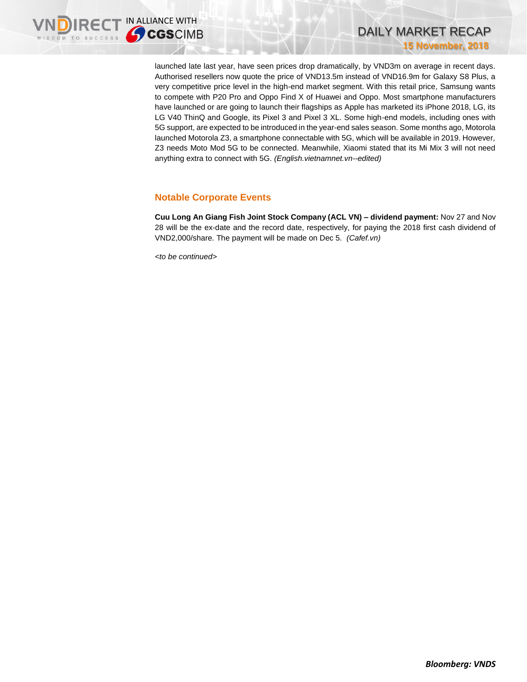launched late last year, have seen prices drop dramatically, by VND3m on average in recent days. Authorised resellers now quote the price of VND13.5m instead of VND16.9m for Galaxy S8 Plus, a very competitive price level in the high-end market segment. With this retail price, Samsung wants to compete with P20 Pro and Oppo Find X of Huawei and Oppo. Most smartphone manufacturers have launched or are going to launch their flagships as Apple has marketed its iPhone 2018, LG, its LG V40 ThinQ and Google, its Pixel 3 and Pixel 3 XL. Some high-end models, including ones with 5G support, are expected to be introduced in the year-end sales season. Some months ago, Motorola launched Motorola Z3, a smartphone connectable with 5G, which will be available in 2019. However, Z3 needs Moto Mod 5G to be connected. Meanwhile, Xiaomi stated that its Mi Mix 3 will not need anything extra to connect with 5G. *(English.vietnamnet.vn--edited)*

## **Notable Corporate Events**

**Cuu Long An Giang Fish Joint Stock Company (ACL VN) – dividend payment:** Nov 27 and Nov 28 will be the ex-date and the record date, respectively, for paying the 2018 first cash dividend of VND2,000/share. The payment will be made on Dec 5. *(Cafef.vn)*

*<to be continued>*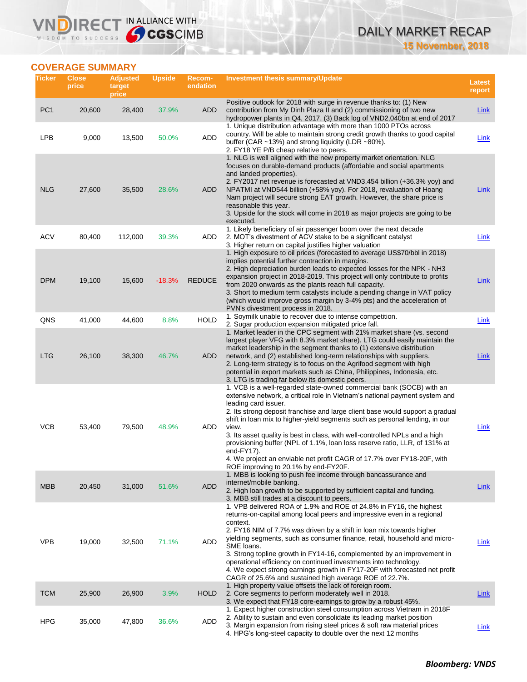## DAILY MARKET RECAP **15 November, 2018**

## **COVERAGE SUMMARY**

WISDOM TO SUCCESS

**VNDIRECT IN ALLIANCE WITH** 

| Ticker          | <b>Close</b><br>price | <b>Adjusted</b><br>target<br>price | <b>Upside</b> | Recom-<br>endation | <b>Investment thesis summary/Update</b>                                                                                                                                                                                                                                                                                                                                                                                                                                                                                                                                                                                                                          | <b>Latest</b><br>report |
|-----------------|-----------------------|------------------------------------|---------------|--------------------|------------------------------------------------------------------------------------------------------------------------------------------------------------------------------------------------------------------------------------------------------------------------------------------------------------------------------------------------------------------------------------------------------------------------------------------------------------------------------------------------------------------------------------------------------------------------------------------------------------------------------------------------------------------|-------------------------|
| PC <sub>1</sub> | 20,600                | 28,400                             | 37.9%         | ADD                | Positive outlook for 2018 with surge in revenue thanks to: (1) New<br>contribution from My Dinh Plaza II and (2) commissioning of two new<br>hydropower plants in Q4, 2017. (3) Back log of VND2,040bn at end of 2017                                                                                                                                                                                                                                                                                                                                                                                                                                            | <b>Link</b>             |
| <b>LPB</b>      | 9,000                 | 13,500                             | 50.0%         | ADD                | 1. Unique distribution advantage with more than 1000 PTOs across<br>country. Will be able to maintain strong credit growth thanks to good capital<br>buffer (CAR $\sim$ 13%) and strong liquidity (LDR $\sim$ 80%).<br>2. FY18 YE P/B cheap relative to peers.                                                                                                                                                                                                                                                                                                                                                                                                   | Link                    |
| <b>NLG</b>      | 27,600                | 35,500                             | 28.6%         | ADD                | 1. NLG is well aligned with the new property market orientation. NLG<br>focuses on durable-demand products (affordable and social apartments<br>and landed properties).<br>2. FY2017 net revenue is forecasted at VND3,454 billion (+36.3% yoy) and<br>NPATMI at VND544 billion (+58% yoy). For 2018, revaluation of Hoang<br>Nam project will secure strong EAT growth. However, the share price is<br>reasonable this year.<br>3. Upside for the stock will come in 2018 as major projects are going to be<br>executed.                                                                                                                                        | Link                    |
| <b>ACV</b>      | 80,400                | 112,000                            | 39.3%         | ADD                | 1. Likely beneficiary of air passenger boom over the next decade<br>2. MOT's divestment of ACV stake to be a significant catalyst<br>3. Higher return on capital justifies higher valuation                                                                                                                                                                                                                                                                                                                                                                                                                                                                      | Link                    |
| <b>DPM</b>      | 19,100                | 15,600                             | $-18.3%$      | <b>REDUCE</b>      | 1. High exposure to oil prices (forecasted to average US\$70/bbl in 2018)<br>implies potential further contraction in margins.<br>2. High depreciation burden leads to expected losses for the NPK - NH3<br>expansion project in 2018-2019. This project will only contribute to profits<br>from 2020 onwards as the plants reach full capacity.<br>3. Short to medium term catalysts include a pending change in VAT policy<br>(which would improve gross margin by 3-4% pts) and the acceleration of<br>PVN's divestment process in 2018.                                                                                                                      | Link                    |
| QNS             | 41,000                | 44,600                             | 8.8%          | <b>HOLD</b>        | 1. Soymilk unable to recover due to intense competition.<br>2. Sugar production expansion mitigated price fall.                                                                                                                                                                                                                                                                                                                                                                                                                                                                                                                                                  | Link                    |
| <b>LTG</b>      | 26,100                | 38,300                             | 46.7%         | <b>ADD</b>         | 1. Market leader in the CPC segment with 21% market share (vs. second<br>largest player VFG with 8.3% market share). LTG could easily maintain the<br>market leadership in the segment thanks to (1) extensive distribution<br>network, and (2) established long-term relationships with suppliers.<br>2. Long-term strategy is to focus on the Agrifood segment with high<br>potential in export markets such as China, Philippines, Indonesia, etc.<br>3. LTG is trading far below its domestic peers.                                                                                                                                                         | <b>Link</b>             |
| <b>VCB</b>      | 53,400                | 79,500                             | 48.9%         | ADD                | 1. VCB is a well-regarded state-owned commercial bank (SOCB) with an<br>extensive network, a critical role in Vietnam's national payment system and<br>leading card issuer.<br>2. Its strong deposit franchise and large client base would support a gradual<br>shift in loan mix to higher-yield segments such as personal lending, in our<br>view.<br>3. Its asset quality is best in class, with well-controlled NPLs and a high<br>provisioning buffer (NPL of 1.1%, loan loss reserve ratio, LLR, of 131% at<br>end- $FY17$ ).<br>4. We project an enviable net profit CAGR of 17.7% over FY18-20F, with<br>ROE improving to 20.1% by end-FY20F.            | Link                    |
| <b>MBB</b>      | 20,450                | 31,000                             | 51.6%         | <b>ADD</b>         | 1. MBB is looking to push fee income through bancassurance and<br>internet/mobile banking.<br>2. High loan growth to be supported by sufficient capital and funding.                                                                                                                                                                                                                                                                                                                                                                                                                                                                                             | Link                    |
| <b>VPB</b>      | 19,000                | 32,500                             | 71.1%         | ADD                | 3. MBB still trades at a discount to peers.<br>1. VPB delivered ROA of 1.9% and ROE of 24.8% in FY16, the highest<br>returns-on-capital among local peers and impressive even in a regional<br>context.<br>2. FY16 NIM of 7.7% was driven by a shift in loan mix towards higher<br>yielding segments, such as consumer finance, retail, household and micro-<br>SME loans.<br>3. Strong topline growth in FY14-16, complemented by an improvement in<br>operational efficiency on continued investments into technology.<br>4. We expect strong earnings growth in FY17-20F with forecasted net profit<br>CAGR of 25.6% and sustained high average ROE of 22.7%. | Link                    |
| <b>TCM</b>      | 25,900                | 26,900                             | 3.9%          | <b>HOLD</b>        | 1. High property value offsets the lack of foreign room.<br>2. Core segments to perform moderately well in 2018.<br>3. We expect that FY18 core-earnings to grow by a robust 45%.                                                                                                                                                                                                                                                                                                                                                                                                                                                                                | Link                    |
| <b>HPG</b>      | 35,000                | 47,800                             | 36.6%         | ADD                | 1. Expect higher construction steel consumption across Vietnam in 2018 F<br>2. Ability to sustain and even consolidate its leading market position<br>3. Margin expansion from rising steel prices & soft raw material prices<br>4. HPG's long-steel capacity to double over the next 12 months                                                                                                                                                                                                                                                                                                                                                                  | <u>Link</u>             |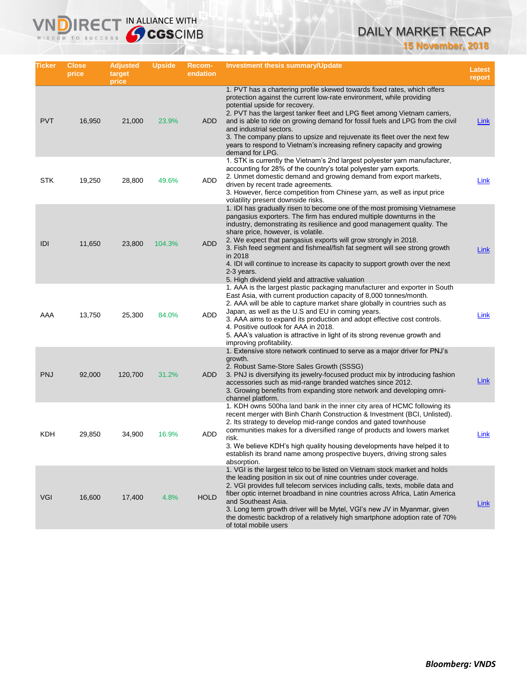## DAILY MARKET RECAP

**15 November, 2018**

| Ticker     | <b>Close</b><br>price | <b>Adjusted</b><br>target<br>price | <b>Upside</b> | Recom-<br>endation | <b>Investment thesis summary/Update</b>                                                                                                                                                                                                                                                                                                                                                                                                                                                                                                                                        | <b>Latest</b><br>report |
|------------|-----------------------|------------------------------------|---------------|--------------------|--------------------------------------------------------------------------------------------------------------------------------------------------------------------------------------------------------------------------------------------------------------------------------------------------------------------------------------------------------------------------------------------------------------------------------------------------------------------------------------------------------------------------------------------------------------------------------|-------------------------|
| <b>PVT</b> | 16,950                | 21,000                             | 23.9%         | ADD                | 1. PVT has a chartering profile skewed towards fixed rates, which offers<br>protection against the current low-rate environment, while providing<br>potential upside for recovery.<br>2. PVT has the largest tanker fleet and LPG fleet among Vietnam carriers,<br>and is able to ride on growing demand for fossil fuels and LPG from the civil<br>and industrial sectors.<br>3. The company plans to upsize and rejuvenate its fleet over the next few<br>years to respond to Vietnam's increasing refinery capacity and growing<br>demand for LPG.                          | <b>Link</b>             |
| <b>STK</b> | 19,250                | 28,800                             | 49.6%         | ADD                | 1. STK is currently the Vietnam's 2nd largest polyester yarn manufacturer,<br>accounting for 28% of the country's total polyester yarn exports.<br>2. Unmet domestic demand and growing demand from export markets,<br>driven by recent trade agreements.<br>3. However, fierce competition from Chinese yarn, as well as input price<br>volatility present downside risks.                                                                                                                                                                                                    | Link                    |
| IDI        | 11,650                | 23,800                             | 104.3%        | <b>ADD</b>         | 1. IDI has gradually risen to become one of the most promising Vietnamese<br>pangasius exporters. The firm has endured multiple downturns in the<br>industry, demonstrating its resilience and good management quality. The<br>share price, however, is volatile.<br>2. We expect that pangasius exports will grow strongly in 2018.<br>3. Fish feed segment and fishmeal/fish fat segment will see strong growth<br>in 2018<br>4. IDI will continue to increase its capacity to support growth over the next<br>2-3 years.<br>5. High dividend yield and attractive valuation | Link                    |
| AAA        | 13,750                | 25,300                             | 84.0%         | ADD                | 1. AAA is the largest plastic packaging manufacturer and exporter in South<br>East Asia, with current production capacity of 8,000 tonnes/month.<br>2. AAA will be able to capture market share globally in countries such as<br>Japan, as well as the U.S and EU in coming years.<br>3. AAA aims to expand its production and adopt effective cost controls.<br>4. Positive outlook for AAA in 2018.<br>5. AAA's valuation is attractive in light of its strong revenue growth and<br>improving profitability.                                                                | Link                    |
| <b>PNJ</b> | 92,000                | 120,700                            | 31.2%         | <b>ADD</b>         | 1. Extensive store network continued to serve as a major driver for PNJ's<br>growth.<br>2. Robust Same-Store Sales Growth (SSSG)<br>3. PNJ is diversifying its jewelry-focused product mix by introducing fashion<br>accessories such as mid-range branded watches since 2012.<br>3. Growing benefits from expanding store network and developing omni-<br>channel platform.                                                                                                                                                                                                   | Link                    |
| KDH        | 29,850                | 34,900                             | 16.9%         | <b>ADD</b>         | 1. KDH owns 500ha land bank in the inner city area of HCMC following its<br>recent merger with Binh Chanh Construction & Investment (BCI, Unlisted).<br>2. Its strategy to develop mid-range condos and gated townhouse<br>communities makes for a diversified range of products and lowers market<br>risk.<br>3. We believe KDH's high quality housing developments have helped it to<br>establish its brand name among prospective buyers, driving strong sales<br>absorption.                                                                                               | Link                    |
| <b>VGI</b> | 16,600                | 17,400                             | 4.8%          | <b>HOLD</b>        | 1. VGI is the largest telco to be listed on Vietnam stock market and holds<br>the leading position in six out of nine countries under coverage.<br>2. VGI provides full telecom services including calls, texts, mobile data and<br>fiber optic internet broadband in nine countries across Africa, Latin America<br>and Southeast Asia.<br>3. Long term growth driver will be Mytel, VGI's new JV in Myanmar, given<br>the domestic backdrop of a relatively high smartphone adoption rate of 70%<br>of total mobile users                                                    | <b>Link</b>             |

IRECT IN ALLIANCE WITH

VND

WISDOM TO SUCCESS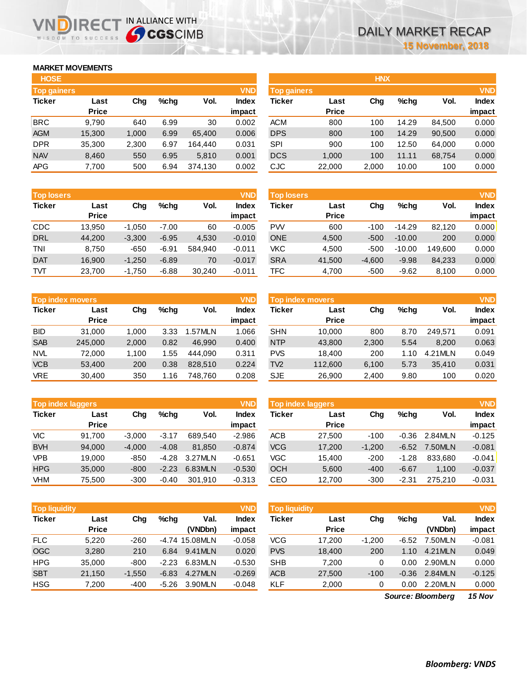## **MARKET MOVEMENTS**

WISDOM TO SUCCESS

ה

| <b>HOSE</b>        |              |       |      |         |              |
|--------------------|--------------|-------|------|---------|--------------|
| <b>Top gainers</b> |              |       |      |         | <b>VND</b>   |
| <b>Ticker</b>      | Last         | Cha   | %chq | Vol.    | <b>Index</b> |
|                    | <b>Price</b> |       |      |         | impact       |
| <b>BRC</b>         | 9,790        | 640   | 6.99 | 30      | 0.002        |
| <b>AGM</b>         | 15,300       | 1,000 | 6.99 | 65,400  | 0.006        |
| <b>DPR</b>         | 35,300       | 2,300 | 6.97 | 164.440 | 0.031        |
| <b>NAV</b>         | 8,460        | 550   | 6.95 | 5,810   | 0.001        |
| <b>APG</b>         | 7,700        | 500   | 6.94 | 374,130 | 0.002        |

IRECT IN ALLIANCE WITH

| <b>Top losers</b> |              |          |         |         | <b>VND</b>   |
|-------------------|--------------|----------|---------|---------|--------------|
| <b>Ticker</b>     | Last         | Cha      | $%$ chg | Vol.    | <b>Index</b> |
|                   | <b>Price</b> |          |         |         | impact       |
| CDC               | 13,950       | $-1,050$ | $-7.00$ | 60      | $-0.005$     |
| <b>DRL</b>        | 44,200       | $-3,300$ | $-6.95$ | 4,530   | $-0.010$     |
| TNI               | 8.750        | -650     | $-6.91$ | 584.940 | $-0.011$     |
| <b>DAT</b>        | 16,900       | $-1,250$ | $-6.89$ | 70      | $-0.017$     |
| TVT               | 23,700       | $-1,750$ | $-6.88$ | 30,240  | $-0.011$     |

| <b>VND</b><br><b>Top index movers</b> |              |       |         |         |              |  |  |  |
|---------------------------------------|--------------|-------|---------|---------|--------------|--|--|--|
| <b>Ticker</b>                         | Last         | Cha   | $%$ chq | Vol.    | <b>Index</b> |  |  |  |
|                                       | <b>Price</b> |       |         |         | impact       |  |  |  |
| <b>BID</b>                            | 31,000       | 1,000 | 3.33    | 1.57MLN | 1.066        |  |  |  |
| <b>SAB</b>                            | 245,000      | 2,000 | 0.82    | 46.990  | 0.400        |  |  |  |
| <b>NVL</b>                            | 72,000       | 1,100 | 1.55    | 444.090 | 0.311        |  |  |  |
| <b>VCB</b>                            | 53,400       | 200   | 0.38    | 828,510 | 0.224        |  |  |  |
| <b>VRE</b>                            | 30,400       | 350   | 1.16    | 748,760 | 0.208        |  |  |  |

| <b>Top index laggers</b> |              |          |         |         |              |  |  |  |
|--------------------------|--------------|----------|---------|---------|--------------|--|--|--|
| <b>Ticker</b>            | Last         | Cha      | $%$ chq | Vol.    | <b>Index</b> |  |  |  |
|                          | <b>Price</b> |          |         |         | impact       |  |  |  |
| VIC                      | 91,700       | $-3,000$ | $-3.17$ | 689,540 | $-2.986$     |  |  |  |
| <b>BVH</b>               | 94,000       | $-4,000$ | $-4.08$ | 81,850  | $-0.874$     |  |  |  |
| <b>VPB</b>               | 19,000       | $-850$   | $-4.28$ | 3.27MLN | $-0.651$     |  |  |  |
| <b>HPG</b>               | 35,000       | $-800$   | $-2.23$ | 6.83MLN | $-0.530$     |  |  |  |
| VHM                      | 75,500       | $-300$   | $-0.40$ | 301,910 | $-0.313$     |  |  |  |

| <b>Top liquidity</b> |              |          |         |                | <b>VND</b>   |
|----------------------|--------------|----------|---------|----------------|--------------|
| <b>Ticker</b>        | Last         | Chq      | %chq    | Val.           | <b>Index</b> |
|                      | <b>Price</b> |          |         | (VNDbn)        | impact       |
| <b>FLC</b>           | 5.220        | $-260$   |         | -4.74 15.08MLN | $-0.058$     |
| <b>OGC</b>           | 3,280        | 210      | 6.84    | 9.41MLN        | 0.020        |
| <b>HPG</b>           | 35,000       | -800     | $-2.23$ | 6.83MLN        | $-0.530$     |
| <b>SBT</b>           | 21,150       | $-1,550$ | -6.83   | 4.27MLN        | $-0.269$     |
| <b>HSG</b>           | 7,200        | $-400$   | $-5.26$ | 3.90MLN        | $-0.048$     |

| <b>HOSE</b> |              |       |         |         |              |             |              | <b>HNX</b> |         |        |              |
|-------------|--------------|-------|---------|---------|--------------|-------------|--------------|------------|---------|--------|--------------|
| Top gainers |              |       |         |         | <b>VND</b>   | Top gainers |              |            |         |        | <b>VND</b>   |
| Ticker      | Last         | Chg   | $%$ chg | Vol.    | <b>Index</b> | Ticker      | Last         | Chg        | $%$ chg | Vol.   | <b>Index</b> |
|             | <b>Price</b> |       |         |         | impact       |             | <b>Price</b> |            |         |        | impact       |
| BRC         | 9,790        | 640   | 6.99    | 30      | 0.002        | <b>ACM</b>  | 800          | 100        | 14.29   | 84.500 | 0.000        |
| AGM         | 15,300       | 1,000 | 6.99    | 65.400  | 0.006        | <b>DPS</b>  | 800          | 100        | 14.29   | 90,500 | 0.000        |
| <b>DPR</b>  | 35,300       | 2,300 | 6.97    | 164.440 | 0.031        | SPI         | 900          | 100        | 12.50   | 64,000 | 0.000        |
| <b>NAV</b>  | 8,460        | 550   | 6.95    | 5,810   | 0.001        | <b>DCS</b>  | 1,000        | 100        | 11.11   | 68,754 | 0.000        |
| APG         | 7,700        | 500   | 6.94    | 374,130 | 0.002        | CJC         | 22,000       | 2,000      | 10.00   | 100    | 0.000        |
|             |              |       |         |         |              |             |              |            |         |        |              |

| <b>Top losers</b> |              |          |         |         | <b>VND</b>   | <b>Top losers</b> |              |          |          |         | <b>VND</b>   |
|-------------------|--------------|----------|---------|---------|--------------|-------------------|--------------|----------|----------|---------|--------------|
| Ticker            | Last         | Chg      | $%$ chq | Vol.    | <b>Index</b> | Ticker            | Last         | Chg      | $%$ chq  | Vol.    | <b>Index</b> |
|                   | <b>Price</b> |          |         |         | impact       |                   | <b>Price</b> |          |          |         | impact       |
| CDC               | 13.950       | $-1,050$ | $-7.00$ | 60      | $-0.005$     | <b>PW</b>         | 600          | $-100$   | $-14.29$ | 82.120  | 0.000        |
| <b>DRL</b>        | 44,200       | $-3,300$ | $-6.95$ | 4,530   | $-0.010$     | <b>ONE</b>        | 4,500        | $-500$   | $-10.00$ | 200     | 0.000        |
| TNI               | 8,750        | $-650$   | $-6.91$ | 584.940 | $-0.011$     | <b>VKC</b>        | 4,500        | $-500$   | $-10.00$ | 149.600 | 0.000        |
| <b>DAT</b>        | 16,900       | $-1,250$ | $-6.89$ | 70      | $-0.017$     | <b>SRA</b>        | 41,500       | $-4,600$ | $-9.98$  | 84,233  | 0.000        |
| TVT               | 23,700       | $-1,750$ | $-6.88$ | 30,240  | $-0.011$     | TFC               | 4,700        | $-500$   | $-9.62$  | 8,100   | 0.000        |
|                   |              |          |         |         |              |                   |              |          |          |         |              |

|            | Top index movers     |       |      |         | <b>VND</b>      |                 | Top index movers,    |       |         |         | <b>VND</b>             |
|------------|----------------------|-------|------|---------|-----------------|-----------------|----------------------|-------|---------|---------|------------------------|
| Ticker     | Last<br><b>Price</b> | Chg   | %chq | Vol.    | Index<br>impact | Ticker          | Last<br><b>Price</b> | Chg   | $%$ chq | Vol.    | <b>Index</b><br>impact |
| BID        | 31,000               | 1.000 | 3.33 | 1.57MLN | 1.066           | <b>SHN</b>      | 10.000               | 800   | 8.70    | 249.571 | 0.091                  |
| <b>SAB</b> | 245,000              | 2,000 | 0.82 | 46.990  | 0.400           | <b>NTP</b>      | 43,800               | 2,300 | 5.54    | 8,200   | 0.063                  |
| NVL        | 72,000               | 1.100 | 1.55 | 444.090 | 0.311           | <b>PVS</b>      | 18.400               | 200   | 1.10    | 4.21MLN | 0.049                  |
| <b>VCB</b> | 53.400               | 200   | 0.38 | 828,510 | 0.224           | TV <sub>2</sub> | 112,600              | 6,100 | 5.73    | 35.410  | 0.031                  |
| <b>VRE</b> | 30,400               | 350   | 1.16 | 748.760 | 0.208           | <b>SJE</b>      | 26,900               | 2,400 | 9.80    | 100     | 0.020                  |

| <b>Top index laggers</b> |                      |          |         |         | <b>VND</b>      | Top index laggers |                      |          |         |         | <b>VND</b>             |
|--------------------------|----------------------|----------|---------|---------|-----------------|-------------------|----------------------|----------|---------|---------|------------------------|
| Ticker                   | Last<br><b>Price</b> | Chg      | $%$ chq | Vol.    | Index<br>impact | Ticker            | Last<br><b>Price</b> | Chg      | $%$ chq | Vol.    | <b>Index</b><br>impact |
| VIC                      | 91.700               | $-3.000$ | $-3.17$ | 689.540 | $-2.986$        | <b>ACB</b>        | 27.500               | $-100$   | $-0.36$ | 2.84MLN | $-0.125$               |
| <b>BVH</b>               | 94,000               | $-4.000$ | $-4.08$ | 81.850  | $-0.874$        | <b>VCG</b>        | 17.200               | $-1.200$ | $-6.52$ | 7.50MLN | $-0.081$               |
| <b>VPB</b>               | 19.000               | $-850$   | $-4.28$ | 3.27MLN | $-0.651$        | VGC               | 15.400               | $-200$   | $-1.28$ | 833.680 | $-0.041$               |
| <b>HPG</b>               | 35,000               | $-800$   | $-2.23$ | 6.83MLN | $-0.530$        | <b>OCH</b>        | 5,600                | $-400$   | $-6.67$ | 1.100   | $-0.037$               |
| VHM                      | 75,500               | $-300$   | $-0.40$ | 301.910 | $-0.313$        | CEO               | 12.700               | $-300$   | $-2.31$ | 275.210 | $-0.031$               |

| <b>Top liquidity</b> |              |          |         |                | <b>VND</b>   | <b>Top liquidity</b> |              |          |         |         | <b>VND</b>           |
|----------------------|--------------|----------|---------|----------------|--------------|----------------------|--------------|----------|---------|---------|----------------------|
| Ticker               | Last         | Cha      | $%$ chq | Val.           | <b>Index</b> | Ticker               | Last         | Chg      | $%$ chq | Val.    | <b>Index</b>         |
|                      | <b>Price</b> |          |         | (VNDbn)        | impact       |                      | <b>Price</b> |          |         | (VNDbn) | impact               |
| FLC.                 | 5,220        | $-260$   |         | -4.74 15.08MLN | $-0.058$     | VCG                  | 17,200       | $-1.200$ | $-6.52$ | 7.50MLN | $-0.081$             |
| <b>OGC</b>           | 3,280        | 210      | 6.84    | 9.41MLN        | 0.020        | <b>PVS</b>           | 18,400       | 200      | 1.10    | 4.21MLN | 0.049                |
| <b>HPG</b>           | 35,000       | $-800$   | $-2.23$ | 6.83MLN        | $-0.530$     | <b>SHB</b>           | 7.200        | 0        | 0.00    | 2.90MLN | 0.000                |
| <b>SBT</b>           | 21,150       | $-1.550$ | $-6.83$ | 4.27MLN        | $-0.269$     | <b>ACB</b>           | 27,500       | $-100$   | $-0.36$ | 2.84MLN | $-0.125$             |
| HSG                  | 7,200        | $-400$   | -5.26   | 3.90MLN        | $-0.048$     | KLF                  | 2,000        | 0        | 0.00    | 2.20MLN | 0.000                |
|                      |              |          |         |                |              |                      |              | $\sim$   | --      |         | $\sim$ $\sim$ $\sim$ |

*15 Nov Source: Bloomberg*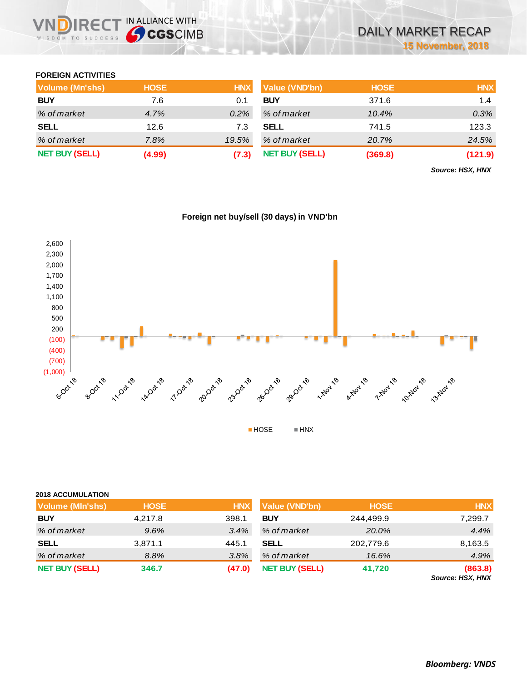## **FOREIGN ACTIVITIES**

WISDOM TO SUCCESS

**IRECT IN ALLIANCE WITH** 

| <b>Volume (Mn'shs)</b> | <b>HOSE</b> | <b>HNX</b> | <b>Value (VND'bn)</b> | <b>HOSE</b> | <b>HNX</b> |
|------------------------|-------------|------------|-----------------------|-------------|------------|
| <b>BUY</b>             | 7.6         | 0.1        | <b>BUY</b>            | 371.6       | 1.4        |
| % of market            | 4.7%        | $0.2\%$    | % of market           | 10.4%       | 0.3%       |
| <b>SELL</b>            | 12.6        | 7.3        | <b>SELL</b>           | 741.5       | 123.3      |
| % of market            | 7.8%        | 19.5%      | % of market           | 20.7%       | 24.5%      |
| <b>NET BUY (SELL)</b>  | (4.99)      | (7.3)      | <b>NET BUY (SELL)</b> | (369.8)     | (121.9)    |

*Source: HSX, HNX*



## **Foreign net buy/sell (30 days) in VND'bn**

#### **2018 ACCUMULATION**

| <b>Volume (MIn'shs)</b> | <b>HOSE</b> | <b>HNX</b> | Value (VND'bn)        | <b>HOSE</b> | <b>HNX</b>                  |
|-------------------------|-------------|------------|-----------------------|-------------|-----------------------------|
| <b>BUY</b>              | 4,217.8     | 398.1      | <b>BUY</b>            | 244,499.9   | 7,299.7                     |
| % of market             | 9.6%        | 3.4%       | % of market           | 20.0%       | 4.4%                        |
| <b>SELL</b>             | 3,871.1     | 445.1      | <b>SELL</b>           | 202,779.6   | 8,163.5                     |
| % of market             | 8.8%        | 3.8%       | % of market           | 16.6%       | 4.9%                        |
| <b>NET BUY (SELL)</b>   | 346.7       | (47.0)     | <b>NET BUY (SELL)</b> | 41,720      | (863.8)<br>Source: HSX, HNX |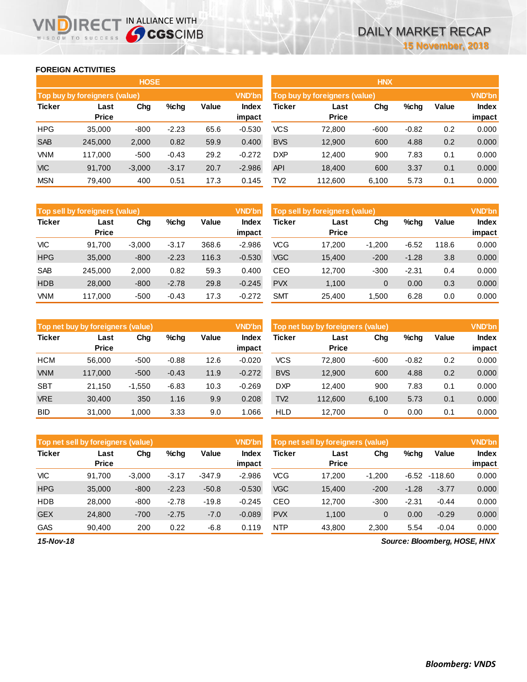### **FOREIGN ACTIVITIES**

WISDOM TO SUCCESS

n

|               |                               | <b>HOSE</b> |         |       |                        |                 |                               | <b>HNX</b> |         |       |                 |
|---------------|-------------------------------|-------------|---------|-------|------------------------|-----------------|-------------------------------|------------|---------|-------|-----------------|
|               | Top buy by foreigners (value) |             |         |       | <b>VND'bn</b>          |                 | Top buy by foreigners (value) |            |         |       | <b>VND'bn</b>   |
| <b>Ticker</b> | Last<br><b>Price</b>          | Chg         | %chg    | Value | <b>Index</b><br>impact | <b>Ticker</b>   | Last<br><b>Price</b>          | Chg        | %chg    | Value | Index<br>impact |
| <b>HPG</b>    | 35,000                        | $-800$      | $-2.23$ | 65.6  | $-0.530$               | <b>VCS</b>      | 72.800                        | $-600$     | $-0.82$ | 0.2   | 0.000           |
| <b>SAB</b>    | 245,000                       | 2,000       | 0.82    | 59.9  | 0.400                  | <b>BVS</b>      | 12,900                        | 600        | 4.88    | 0.2   | 0.000           |
| <b>VNM</b>    | 117.000                       | $-500$      | $-0.43$ | 29.2  | $-0.272$               | <b>DXP</b>      | 12.400                        | 900        | 7.83    | 0.1   | 0.000           |
| <b>VIC</b>    | 91.700                        | $-3.000$    | $-3.17$ | 20.7  | $-2.986$               | <b>API</b>      | 18.400                        | 600        | 3.37    | 0.1   | 0.000           |
| <b>MSN</b>    | 79,400                        | 400         | 0.51    | 17.3  | 0.145                  | TV <sub>2</sub> | 112,600                       | 6,100      | 5.73    | 0.1   | 0.000           |

**IRECT IN ALLIANCE WITH** 

|                 |                               | <b>HNX</b> |         |       |               |
|-----------------|-------------------------------|------------|---------|-------|---------------|
|                 | Top buy by foreigners (value) |            |         |       | <b>VND'bn</b> |
| Ticker          | Last                          | Cha        | %chq    | Value | <b>Index</b>  |
|                 | <b>Price</b>                  |            |         |       | impact        |
| <b>VCS</b>      | 72,800                        | $-600$     | $-0.82$ | 0.2   | 0.000         |
| <b>BVS</b>      | 12,900                        | 600        | 4.88    | 0.2   | 0.000         |
| DXP             | 12,400                        | 900        | 7.83    | 0.1   | 0.000         |
| <b>API</b>      | 18,400                        | 600        | 3.37    | 0.1   | 0.000         |
| TV <sub>2</sub> | 112,600                       | 6,100      | 5.73    | 0.1   | 0.000         |

|               | Top sell by foreigners (value) |          |         |       | <b>VND'bn</b>          |            | Top sell by foreigners (value) |             |         |       | <b>VND'bn</b>   |
|---------------|--------------------------------|----------|---------|-------|------------------------|------------|--------------------------------|-------------|---------|-------|-----------------|
| <b>Ticker</b> | Last<br><b>Price</b>           | Chg      | $%$ chg | Value | <b>Index</b><br>impact | Ticker     | Last<br><b>Price</b>           | Chg         | %chg    | Value | Index<br>impact |
| <b>VIC</b>    | 91.700                         | $-3.000$ | $-3.17$ | 368.6 | $-2.986$               | <b>VCG</b> | 17.200                         | $-1.200$    | $-6.52$ | 118.6 | 0.000           |
| <b>HPG</b>    | 35,000                         | $-800$   | $-2.23$ | 116.3 | $-0.530$               | <b>VGC</b> | 15,400                         | $-200$      | $-1.28$ | 3.8   | 0.000           |
| <b>SAB</b>    | 245.000                        | 2,000    | 0.82    | 59.3  | 0.400                  | CEO        | 12.700                         | $-300$      | $-2.31$ | 0.4   | 0.000           |
| <b>HDB</b>    | 28,000                         | $-800$   | $-2.78$ | 29.8  | $-0.245$               | <b>PVX</b> | 1.100                          | $\mathbf 0$ | 0.00    | 0.3   | 0.000           |
| <b>VNM</b>    | 117.000                        | $-500$   | $-0.43$ | 17.3  | $-0.272$               | <b>SMT</b> | 25.400                         | 1.500       | 6.28    | 0.0   | 0.000           |

|               | Top net buy by foreigners (value) |          |         |       | <b>VND'bn</b>          |                 | Top net buy by foreigners (value) |        |         |       | <b>VND'bn</b>          |
|---------------|-----------------------------------|----------|---------|-------|------------------------|-----------------|-----------------------------------|--------|---------|-------|------------------------|
| <b>Ticker</b> | Last<br><b>Price</b>              | Chg      | $%$ chq | Value | <b>Index</b><br>impact | Ticker          | Last<br><b>Price</b>              | Chg    | %chg    | Value | <b>Index</b><br>impact |
| <b>HCM</b>    | 56,000                            | $-500$   | $-0.88$ | 12.6  | $-0.020$               | <b>VCS</b>      | 72.800                            | $-600$ | $-0.82$ | 0.2   | 0.000                  |
| <b>VNM</b>    | 117,000                           | $-500$   | $-0.43$ | 11.9  | $-0.272$               | <b>BVS</b>      | 12,900                            | 600    | 4.88    | 0.2   | 0.000                  |
| <b>SBT</b>    | 21.150                            | $-1.550$ | $-6.83$ | 10.3  | $-0.269$               | <b>DXP</b>      | 12.400                            | 900    | 7.83    | 0.1   | 0.000                  |
| <b>VRE</b>    | 30.400                            | 350      | 1.16    | 9.9   | 0.208                  | TV <sub>2</sub> | 112,600                           | 6,100  | 5.73    | 0.1   | 0.000                  |
| <b>BID</b>    | 31,000                            | 1.000    | 3.33    | 9.0   | .066                   | <b>HLD</b>      | 12.700                            | 0      | 0.00    | 0.1   | 0.000                  |

|               | Top net sell by foreigners (value) |          |         |          | <b>VND'bn</b>   | Top net sell by foreigners (value) |                      |          |         |         | <b>VND'bn</b>          |  |  |
|---------------|------------------------------------|----------|---------|----------|-----------------|------------------------------------|----------------------|----------|---------|---------|------------------------|--|--|
| <b>Ticker</b> | Last<br><b>Price</b>               | Chg      | $%$ chg | Value    | Index<br>impact | Ticker                             | Last<br><b>Price</b> | Chg      | %chg    | Value   | <b>Index</b><br>impact |  |  |
| VIC.          | 91.700                             | $-3.000$ | $-3.17$ | $-347.9$ | $-2.986$        | VCG                                | 17,200               | $-1.200$ | $-6.52$ | -118.60 | 0.000                  |  |  |
| <b>HPG</b>    | 35,000                             | $-800$   | $-2.23$ | $-50.8$  | $-0.530$        | <b>VGC</b>                         | 15,400               | $-200$   | $-1.28$ | $-3.77$ | 0.000                  |  |  |
| <b>HDB</b>    | 28,000                             | $-800$   | $-2.78$ | $-19.8$  | $-0.245$        | CEO                                | 12.700               | $-300$   | $-2.31$ | $-0.44$ | 0.000                  |  |  |
| <b>GEX</b>    | 24,800                             | $-700$   | $-2.75$ | $-7.0$   | $-0.089$        | <b>PVX</b>                         | 1.100                | 0        | 0.00    | $-0.29$ | 0.000                  |  |  |
| <b>GAS</b>    | 90,400                             | 200      | 0.22    | -6.8     | 0.119           | <b>NTP</b>                         | 43,800               | 2,300    | 5.54    | $-0.04$ | 0.000                  |  |  |

*Source: Bloomberg, HOSE, HNX*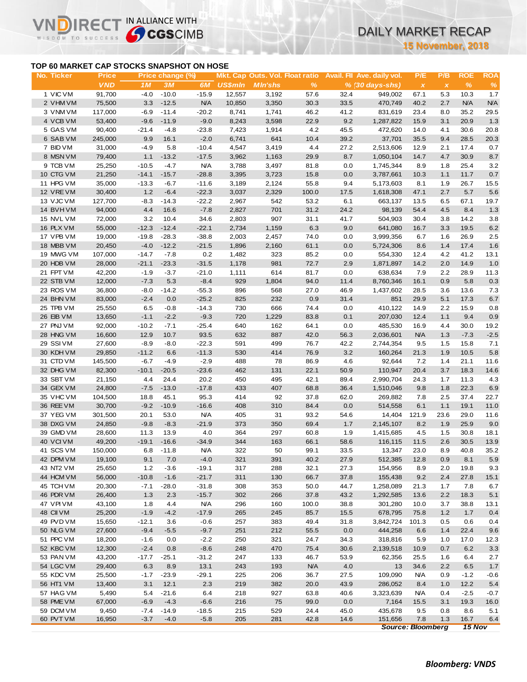# DAILY MARKET RECAP

**15 November, 2018**

## **TOP 60 MARKET CAP STOCKS SNAPSHOT ON HOSE**

IR<sub>E</sub>

IN ALLIANCE WITH

|                                           |                            |                   |                        |                  |                |                                                   |               |             |                                                           | <b>15 November, 2018</b>         |                     |                    |                    |
|-------------------------------------------|----------------------------|-------------------|------------------------|------------------|----------------|---------------------------------------------------|---------------|-------------|-----------------------------------------------------------|----------------------------------|---------------------|--------------------|--------------------|
| TOP 60 MARKET CAP STOCKS SNAPSHOT ON HOSE |                            |                   |                        |                  |                |                                                   |               |             |                                                           |                                  |                     |                    |                    |
| No. Ticker                                | <b>Price</b><br><b>VND</b> | 1M                | Price change (%)<br>3M | 6M               | <b>US\$mln</b> | Mkt. Cap Outs. Vol. Float ratio<br><b>MIn'shs</b> | $\frac{9}{6}$ |             | Avail. Fil Ave. daily vol.<br>$% (30 \, \text{days-shs})$ | P/E<br>$\boldsymbol{\mathsf{x}}$ | P/B<br>$\pmb{\chi}$ | <b>ROE</b><br>$\%$ | <b>ROA</b><br>$\%$ |
| 1 VIC VM                                  | 91,700                     | $-4.0$            | $-10.0$                | $-15.9$          | 12,557         | 3,192                                             | 57.6          | 32.4        | 949,002                                                   | 67.1                             | 5.3                 | 10.3               | 1.7                |
| 2 VHM VM                                  | 75,500                     | 3.3               | $-12.5$                | <b>N/A</b>       | 10,850         | 3,350                                             | 30.3          | 33.5        | 470,749                                                   | 40.2                             | 2.7                 | N/A                | <b>N/A</b>         |
| 3 VNM VM                                  | 117,000                    | $-6.9$            | $-11.4$                | $-20.2$          | 8,741          | 1,741                                             | 46.2          | 41.2        | 831,619                                                   | 23.4                             | 8.0                 | 35.2               | 29.5               |
| 4 VCB VM                                  | 53,400                     | $-9.6$            | $-11.9$                | $-9.0$           | 8,243          | 3,598                                             | 22.9          | 9.2         | 1,287,822                                                 | 15.9                             | 3.1                 | 20.9               | 1.3                |
| 5 GAS VM                                  | 90,400                     | $-21.4$           | $-4.8$                 | $-23.8$          | 7,423          | 1,914                                             | 4.2           | 45.5        | 472,620                                                   | 14.0                             | 4.1                 | 30.6               | 20.8               |
| 6 SAB VM                                  | 245,000                    | 9.9               | 16.1                   | $-2.0$           | 6,741          | 641                                               | 10.4          | 39.2        | 37,701                                                    | 35.5                             | 9.4                 | 28.5               | 20.3               |
| 7 BID VM                                  | 31,000                     | $-4.9$            | 5.8                    | $-10.4$          | 4,547          | 3,419                                             | 4.4           | 27.2        | 2,513,606                                                 | 12.9                             | 2.1                 | 17.4               | 0.7                |
| 8 MSN VM                                  | 79,400                     | 1.1               | $-13.2$                | $-17.5$          | 3,962          | 1,163                                             | 29.9          | 8.7         | 1,050,104                                                 | 14.7                             | 4.7                 | 30.9               | 8.7                |
| 9 TCB VM                                  | 25,250                     | $-10.5$           | $-4.7$                 | <b>N/A</b>       | 3,788          | 3,497                                             | 81.8          | 0.0         | 1,745,344                                                 | 8.9                              | 1.8                 | 25.4               | 3.2                |
| 10 CTG VM                                 | 21,250                     | $-14.1$           | $-15.7$                | $-28.8$          | 3,395          | 3,723                                             | 15.8          | 0.0         | 3,787,661                                                 | 10.3                             | 1.1                 | 11.7               | 0.7                |
| 11 HPG VM                                 | 35,000                     | $-13.3$           | $-6.7$                 | $-11.6$          | 3,189          | 2,124                                             | 55.8          | 9.4         | 5,173,603                                                 | 8.1                              | 1.9                 | 26.7               | 15.5               |
| 12 VREVM                                  | 30,400                     | 1.2               | $-6.4$                 | $-22.3$          | 3,037          | 2,329                                             | 100.0         | 17.5        | 1,618,308                                                 | 47.1                             | 2.7                 | 5.7                | 5.6                |
| 13 VJC VM                                 | 127,700                    | $-8.3$            | $-14.3$                | $-22.2$          | 2,967          | 542                                               | 53.2          | 6.1         | 663,137                                                   | 13.5                             | 6.5                 | 67.1               | 19.7               |
| 14 BVHVM                                  | 94,000                     | 4.4               | 16.6                   | $-7.8$           | 2,827          | 701                                               | 31.2          | 24.2        | 98,139                                                    | 54.4                             | 4.5                 | 8.4                | $1.3$              |
| 15 NVL VM                                 | 72,000                     | 3.2               | 10.4                   | 34.6             | 2,803          | 907                                               | 31.1          | 41.7        | 504,903                                                   | 30.4                             | 3.8                 | 14.2               | 3.8                |
| 16 PLX VM                                 | 55,000                     | $-12.3$           | $-12.4$                | $-22.1$          | 2,734          | 1,159                                             | 6.3           | 9.0         | 641,080                                                   | 16.7                             | 3.3                 | 19.5               | 6.2                |
| 17 VPB VM                                 | 19,000                     | $-19.8$           | $-28.3$                | $-38.8$          | 2,003          | 2,457                                             | 74.0          | 0.0         | 3,999,356                                                 | 6.7                              | 1.6                 | 26.9               | 2.5                |
| 18 MBB VM                                 | 20,450                     | $-4.0$            | $-12.2$                | $-21.5$          | 1,896          | 2,160                                             | 61.1          | 0.0         | 5,724,306                                                 | 8.6                              | 1.4                 | 17.4               | 1.6                |
| 19 MWG VM                                 | 107,000                    | $-14.7$           | $-7.8$                 | 0.2              | 1,482          | 323                                               | 85.2          | 0.0         | 554,330                                                   | 12.4                             | 4.2                 | 41.2               | 13.1               |
| 20 HDB VM                                 | 28,000                     | $-21.1$           | $-23.3$                | $-31.5$          | 1,178          | 981                                               | 72.7          | 2.9         | 1,871,897                                                 | 14.2                             | 2.0                 | 14.9               | 1.0                |
| 21 FPT VM                                 | 42,200                     | $-1.9$            | $-3.7$                 | $-21.0$          | 1,111          | 614                                               | 81.7          | 0.0         | 638,634                                                   | 7.9                              | 2.2                 | 28.9               | 11.3               |
| 22 STB VM                                 | 12,000                     | $-7.3$            | 5.3                    | $-8.4$           | 929            | 1,804                                             | 94.0          | 11.4        | 8,760,346                                                 | 16.1                             | 0.9                 | 5.8                | 0.3                |
| 23 ROS VM                                 | 36,800                     | $-8.0$            | $-14.2$                | $-55.3$          | 896            | 568                                               | 27.0          | 46.9        | 1,437,602                                                 | 28.5                             | 3.6                 | 13.6               | 7.3                |
| 24 BHN VM                                 | 83,000                     | $-2.4$            | 0.0                    | $-25.2$          | 825            | 232                                               | 0.9           | 31.4        | 851                                                       | 29.9                             | 5.1                 | 17.3               | 6.7                |
| 25 TPB VM                                 | 25,550                     | 6.5               | $-0.8$                 | $-14.3$          | 730            | 666                                               | 74.4          | 0.0         | 410,122                                                   | 14.9                             | 2.2                 | 15.9               | 0.8                |
| 26 EIB VM                                 | 13,650                     | $-1.1$            | $-2.2$                 | $-9.3$           | 720            | 1,229                                             | 83.8          | 0.1         | 207,030                                                   | 12.4                             | 1.1                 | 9.4                | 0.9                |
| 27 PNJ VM                                 | 92,000                     | $-10.2$           | $-7.1$                 | $-25.4$          | 640            | 162                                               | 64.1          | 0.0         | 485,530                                                   | 16.9                             | 4.4                 | 30.0               | 19.2               |
| 28 HNG VM                                 | 16,600                     | 12.9              | 10.7                   | 93.5             | 632            | 887                                               | 42.0          | 56.3        | 2,036,601                                                 | <b>N/A</b>                       | 1.3                 | $-7.3$             | $-2.5$             |
| 29 SSI VM                                 | 27,600                     | $-8.9$            | $-8.0$                 | $-22.3$          | 591            | 499                                               | 76.7          | 42.2        | 2,744,354                                                 | 9.5                              | 1.5                 | 15.8               | 7.1                |
| 30 KDH VM                                 | 29,850                     | $-11.2$           | 6.6                    | $-11.3$          | 530            | 414                                               | 76.9          | 3.2         | 160,264                                                   | 21.3                             | 1.9                 | 10.5               | 5.8                |
| 31 CTD VM                                 | 145,500                    | $-6.7$            | $-4.9$                 | $-2.9$           | 488            | 78                                                | 86.9          | 4.6         | 92,644                                                    | 7.2                              | 1.4                 | 21.1               | 11.6               |
| 32 DHG VM                                 | 82,300                     | $-10.1$           | $-20.5$                | $-23.6$          | 462            | 131                                               | 22.1          | 50.9        | 110,947                                                   | 20.4                             | 3.7                 | 18.3               | 14.6               |
| 33 SBT VM                                 | 21,150                     | 4.4               | 24.4                   | 20.2             | 450            | 495                                               | 42.1          | 89.4        | 2,990,704                                                 | 24.3                             | 1.7                 | 11.3               | 4.3                |
| 34 GEX VM                                 | 24,800                     | $-7.5$            | $-13.0$                | $-17.8$          | 433            | 407                                               | 68.8          | 36.4        | 1,510,046                                                 | 9.8                              | 1.8                 | 22.3               | 6.9                |
| 35 VHC VM                                 | 104,500                    | 18.8              | 45.1                   | 95.3             | 414            | 92                                                | 37.8          | 62.0        | 269,882                                                   | 7.8                              | 2.5                 | 37.4               | 22.7               |
| 36 REE VM                                 | 30,700                     | $-9.2$            | $-10.9$                | $-16.6$          | 408            | 310                                               | 84.4          | 0.0         | 514,558                                                   | 6.1                              | 1.1                 | 19.1               | 11.0               |
| 37 YEG VM                                 | 301,500                    | 20.1              | 53.0                   | <b>N/A</b>       | 405            | 31                                                | 93.2          | 54.6        | 14,404                                                    | 121.9                            | 23.6                | 29.0               | 11.6               |
| 38 DXG VM                                 | 24,850                     | $-9.8$            | $-8.3$                 | $-21.9$          | 373            | 350                                               | 69.4          | 1.7         | 2,145,107                                                 | 8.2                              | 1.9                 | 25.9               | 9.0                |
| 39 GMD VM                                 | 28,600                     | 11.3              | 13.9                   | 4.0              | 364            | 297                                               | 60.8          | 1.9         | 1,415,685                                                 | 4.5                              | 1.5                 | 30.8               | 18.1               |
| 40 VCIVM                                  | 49,200                     | $-19.1$           | $-16.6$                | $-34.9$          | 344            | 163                                               | 66.1          | 58.6        | 116,115                                                   | 11.5                             | 2.6                 | 30.5               | 13.9               |
| 41 SCS VM                                 | 150,000                    | 6.8               | $-11.8$                | <b>N/A</b>       | 322            | 50                                                | 99.1          | 33.5        | 13,347                                                    | 23.0                             | 8.9                 | 40.8               | 35.2               |
| 42 DPM VM                                 | 19,100                     | 9.1               | 7.0                    | $-4.0$           | 321            | 391                                               | 40.2          | 27.9        | 512,385                                                   | 12.8                             | 0.9                 | 8.1                | 5.9                |
| 43 NT2 VM                                 | 25,650                     | 1.2               | $-3.6$                 | $-19.1$          | 317            | 288                                               | 32.1          | 27.3        | 154,956                                                   | 8.9                              | 2.0                 | 19.8               | 9.3                |
| 44 HCM VM                                 | 56,000                     | $-10.8$           | $-1.6$                 | $-21.7$          | 311            | 130                                               | 66.7          | 37.8        | 155,438                                                   | 9.2                              | 2.4                 | 27.8               | 15.1               |
| 45 TCH VM                                 | 20,300                     | $-7.1$            | $-28.0$                | $-31.8$          | 308            | 353                                               | 50.0          | 44.7        | 1,258,089                                                 | 21.3                             | 1.7                 | 7.8                | 6.7                |
| 46 PDR VM<br>47 VPIVM                     | 26,400                     | 1.3               | 2.3                    | $-15.7$          | 302            | 266                                               | 37.8          | 43.2        | 1,292,585                                                 | 13.6                             | 2.2                 | 18.3               | 5.1                |
| 48 CII VM                                 | 43,100                     | 1.8               | 4.4                    | <b>N/A</b>       | 296            | 160                                               | 100.0         | 38.8        | 301,280                                                   | 10.0                             | 3.7                 | 38.8               | 13.1               |
|                                           | 25,200                     | $-1.9$            | $-4.2$                 | $-17.9$          | 265            | 245                                               | 85.7          | 15.5        | 678,795                                                   | 75.8                             | 1.2                 | 1.7                | 0.4                |
| 49 PVD VM<br>50 NLG VM                    | 15,650<br>27,600           | $-12.1$<br>$-9.4$ | 3.6                    | $-0.6$<br>$-9.7$ | 257<br>251     | 383<br>212                                        | 49.4          | 31.8<br>0.0 | 3,842,724                                                 | 101.3                            | 0.5                 | 0.6<br>22.4        | 0.4                |
| 51 PPC VM                                 | 18,200                     |                   | $-5.5$                 | $-2.2$           | 250            | 321                                               | 55.5<br>24.7  | 34.3        | 444,258<br>318,816                                        | 6.6                              | 1.4                 |                    | 9.6<br>12.3        |
| 52 KBC VM                                 | 12,300                     | $-1.6$<br>$-2.4$  | 0.0<br>0.8             | $-8.6$           | 248            | 470                                               | 75.4          | 30.6        | 2,139,518                                                 | 5.9<br>10.9                      | 1.0<br>0.7          | 17.0<br>6.2        |                    |
| 53 PAN VM                                 | 43,200                     |                   | $-25.1$                | $-31.2$          | 247            | 133                                               | 46.7          | 53.9        |                                                           |                                  |                     | 6.4                | 3.3                |
| 54 LGC VM                                 | 29,400                     | -17.7<br>6.3      | 8.9                    | 13.1             | 243            | 193                                               | <b>N/A</b>    | 4.0         | 62,356<br>13                                              | 25.5<br>34.6                     | 1.6<br>2.2          | 6.5                | 2.7<br>$1.7$       |
| 55 KDC VM                                 | 25,500                     | $-1.7$            | $-23.9$                | $-29.1$          | 225            | 206                                               | 36.7          | 27.5        | 109,090                                                   | <b>N/A</b>                       | 0.9                 | $-1.2$             | $-0.6$             |
| 56 HT1 VM                                 | 13,400                     | 3.1               | 12.1                   | 2.3              | 219            | 382                                               | 20.0          | 43.9        | 286,052                                                   | 8.4                              | 1.0                 | 12.2               | 5.4                |
| 57 HAG VM                                 | 5,490                      | 5.4               | $-21.6$                | 6.4              | 218            | 927                                               | 63.8          | 40.6        | 3,323,639                                                 | <b>N/A</b>                       | 0.4                 | $-2.5$             | $-0.7$             |
| 58 PME VM                                 | 67,000                     | $-6.9$            | $-4.3$                 | $-6.6$           | 216            | 75                                                | 99.0          | 0.0         | 7,164                                                     | 15.5                             | 3.1                 | 19.3               | 16.0               |
| 59 DCM VM                                 | 9,450                      | $-7.4$            | $-14.9$                | $-18.5$          | 215            | 529                                               | 24.4          | 45.0        | 435,678                                                   | 9.5                              | 0.8                 | 8.6                | 5.1                |
| 60 PVT VM                                 | 16,950                     | $-3.7$            | $-4.0$                 | $-5.8$           | 205            | 281                                               | 42.8          | 14.6        | 151,656                                                   | 7.8                              | 1.3                 | 16.7               | 6.4                |
|                                           |                            |                   |                        |                  |                |                                                   |               |             | <b>Source: Bloomberg</b>                                  |                                  |                     | $15$ Nov           |                    |